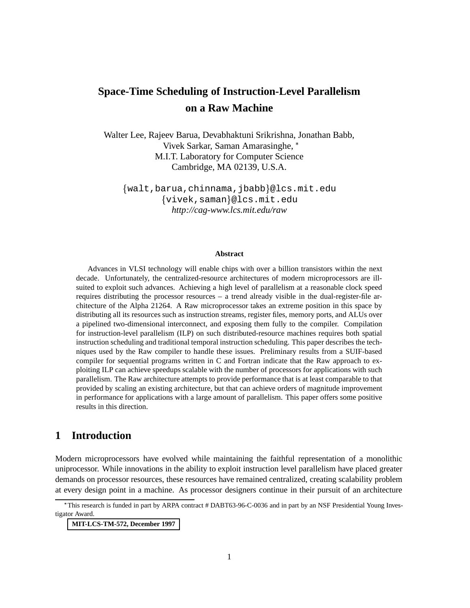# **Space-Time Scheduling of Instruction-Level Parallelism on a Raw Machine**

Walter Lee, Rajeev Barua, Devabhaktuni Srikrishna, Jonathan Babb, Vivek Sarkar, Saman Amarasinghe, M.I.T. Laboratory for Computer Science Cambridge, MA 02139, U.S.A.

 $\{\texttt{walk}, \texttt{barua}, \texttt{chinnama}, \texttt{jbabb} \}$ @lcs.mit.edu  $\{ \texttt{viewek}, \texttt{saman} \}$ @lcs.mit.edu *http://cag-www.lcs.mit.edu/raw*

#### **Abstract**

Advances in VLSI technology will enable chips with over a billion transistors within the next decade. Unfortunately, the centralized-resource architectures of modern microprocessors are illsuited to exploit such advances. Achieving a high level of parallelism at a reasonable clock speed requires distributing the processor resources – a trend already visible in the dual-register-file architecture of the Alpha 21264. A Raw microprocessor takes an extreme position in this space by distributing all its resources such as instruction streams, register files, memory ports, and ALUs over a pipelined two-dimensional interconnect, and exposing them fully to the compiler. Compilation for instruction-level parallelism (ILP) on such distributed-resource machines requires both spatial instruction scheduling and traditional temporal instruction scheduling. This paper describes the techniques used by the Raw compiler to handle these issues. Preliminary results from a SUIF-based compiler for sequential programs written in C and Fortran indicate that the Raw approach to exploiting ILP can achieve speedups scalable with the number of processors for applications with such parallelism. The Raw architecture attempts to provide performance that is at least comparable to that provided by scaling an existing architecture, but that can achieve orders of magnitude improvement in performance for applications with a large amount of parallelism. This paper offers some positive results in this direction.

# **1 Introduction**

Modern microprocessors have evolved while maintaining the faithful representation of a monolithic uniprocessor. While innovations in the ability to exploit instruction level parallelism have placed greater demands on processor resources, these resources have remained centralized, creating scalability problem at every design point in a machine. As processor designers continue in their pursuit of an architecture

**MIT-LCS-TM-572, December 1997**

This research is funded in part by ARPA contract # DABT63-96-C-0036 and in part by an NSF Presidential Young Investigator Award.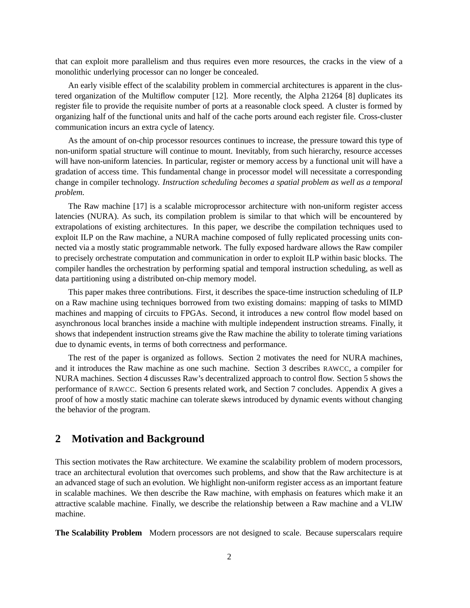that can exploit more parallelism and thus requires even more resources, the cracks in the view of a monolithic underlying processor can no longer be concealed.

An early visible effect of the scalability problem in commercial architectures is apparent in the clustered organization of the Multiflow computer [12]. More recently, the Alpha 21264 [8] duplicates its register file to provide the requisite number of ports at a reasonable clock speed. A cluster is formed by organizing half of the functional units and half of the cache ports around each register file. Cross-cluster communication incurs an extra cycle of latency.

As the amount of on-chip processor resources continues to increase, the pressure toward this type of non-uniform spatial structure will continue to mount. Inevitably, from such hierarchy, resource accesses will have non-uniform latencies. In particular, register or memory access by a functional unit will have a gradation of access time. This fundamental change in processor model will necessitate a corresponding change in compiler technology. *Instruction scheduling becomes a spatial problem as well as a temporal problem.*

The Raw machine [17] is a scalable microprocessor architecture with non-uniform register access latencies (NURA). As such, its compilation problem is similar to that which will be encountered by extrapolations of existing architectures. In this paper, we describe the compilation techniques used to exploit ILP on the Raw machine, a NURA machine composed of fully replicated processing units connected via a mostly static programmable network. The fully exposed hardware allows the Raw compiler to precisely orchestrate computation and communication in order to exploit ILP within basic blocks. The compiler handles the orchestration by performing spatial and temporal instruction scheduling, as well as data partitioning using a distributed on-chip memory model.

This paper makes three contributions. First, it describes the space-time instruction scheduling of ILP on a Raw machine using techniques borrowed from two existing domains: mapping of tasks to MIMD machines and mapping of circuits to FPGAs. Second, it introduces a new control flow model based on asynchronous local branches inside a machine with multiple independent instruction streams. Finally, it shows that independent instruction streams give the Raw machine the ability to tolerate timing variations due to dynamic events, in terms of both correctness and performance.

The rest of the paper is organized as follows. Section 2 motivates the need for NURA machines, and it introduces the Raw machine as one such machine. Section 3 describes RAWCC, a compiler for NURA machines. Section 4 discusses Raw's decentralized approach to control flow. Section 5 shows the performance of RAWCC. Section 6 presents related work, and Section 7 concludes. Appendix A gives a proof of how a mostly static machine can tolerate skews introduced by dynamic events without changing the behavior of the program.

### **2 Motivation and Background**

This section motivates the Raw architecture. We examine the scalability problem of modern processors, trace an architectural evolution that overcomes such problems, and show that the Raw architecture is at an advanced stage of such an evolution. We highlight non-uniform register access as an important feature in scalable machines. We then describe the Raw machine, with emphasis on features which make it an attractive scalable machine. Finally, we describe the relationship between a Raw machine and a VLIW machine.

**The Scalability Problem** Modern processors are not designed to scale. Because superscalars require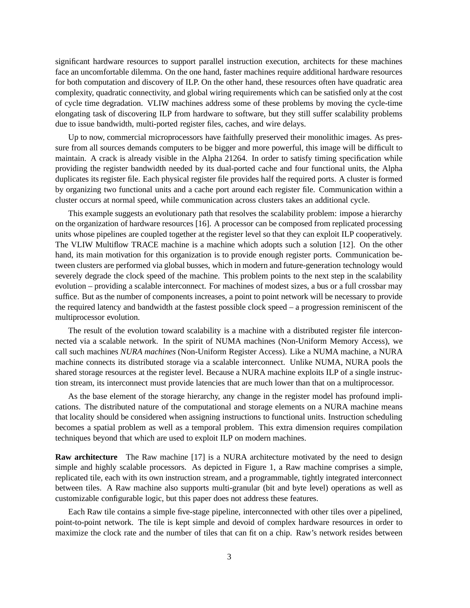significant hardware resources to support parallel instruction execution, architects for these machines face an uncomfortable dilemma. On the one hand, faster machines require additional hardware resources for both computation and discovery of ILP. On the other hand, these resources often have quadratic area complexity, quadratic connectivity, and global wiring requirements which can be satisfied only at the cost of cycle time degradation. VLIW machines address some of these problems by moving the cycle-time elongating task of discovering ILP from hardware to software, but they still suffer scalability problems due to issue bandwidth, multi-ported register files, caches, and wire delays.

Up to now, commercial microprocessors have faithfully preserved their monolithic images. As pressure from all sources demands computers to be bigger and more powerful, this image will be difficult to maintain. A crack is already visible in the Alpha 21264. In order to satisfy timing specification while providing the register bandwidth needed by its dual-ported cache and four functional units, the Alpha duplicates its register file. Each physical register file provides half the required ports. A cluster is formed by organizing two functional units and a cache port around each register file. Communication within a cluster occurs at normal speed, while communication across clusters takes an additional cycle.

This example suggests an evolutionary path that resolves the scalability problem: impose a hierarchy on the organization of hardware resources [16]. A processor can be composed from replicated processing units whose pipelines are coupled together at the register level so that they can exploit ILP cooperatively. The VLIW Multiflow TRACE machine is a machine which adopts such a solution [12]. On the other hand, its main motivation for this organization is to provide enough register ports. Communication between clusters are performed via global busses, which in modern and future-generation technology would severely degrade the clock speed of the machine. This problem points to the next step in the scalability evolution – providing a scalable interconnect. For machines of modest sizes, a bus or a full crossbar may suffice. But as the number of components increases, a point to point network will be necessary to provide the required latency and bandwidth at the fastest possible clock speed – a progression reminiscent of the multiprocessor evolution.

The result of the evolution toward scalability is a machine with a distributed register file interconnected via a scalable network. In the spirit of NUMA machines (Non-Uniform Memory Access), we call such machines *NURA machines* (Non-Uniform Register Access). Like a NUMA machine, a NURA machine connects its distributed storage via a scalable interconnect. Unlike NUMA, NURA pools the shared storage resources at the register level. Because a NURA machine exploits ILP of a single instruction stream, its interconnect must provide latencies that are much lower than that on a multiprocessor.

As the base element of the storage hierarchy, any change in the register model has profound implications. The distributed nature of the computational and storage elements on a NURA machine means that locality should be considered when assigning instructions to functional units. Instruction scheduling becomes a spatial problem as well as a temporal problem. This extra dimension requires compilation techniques beyond that which are used to exploit ILP on modern machines.

**Raw architecture** The Raw machine [17] is a NURA architecture motivated by the need to design simple and highly scalable processors. As depicted in Figure 1, a Raw machine comprises a simple, replicated tile, each with its own instruction stream, and a programmable, tightly integrated interconnect between tiles. A Raw machine also supports multi-granular (bit and byte level) operations as well as customizable configurable logic, but this paper does not address these features.

Each Raw tile contains a simple five-stage pipeline, interconnected with other tiles over a pipelined, point-to-point network. The tile is kept simple and devoid of complex hardware resources in order to maximize the clock rate and the number of tiles that can fit on a chip. Raw's network resides between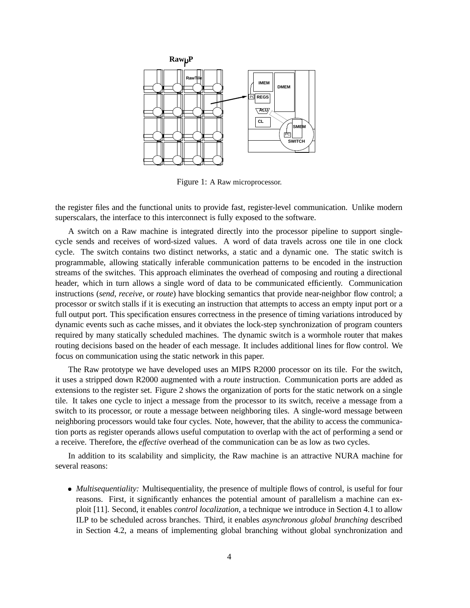

Figure 1: A Raw microprocessor.

the register files and the functional units to provide fast, register-level communication. Unlike modern superscalars, the interface to this interconnect is fully exposed to the software.

A switch on a Raw machine is integrated directly into the processor pipeline to support singlecycle sends and receives of word-sized values. A word of data travels across one tile in one clock cycle. The switch contains two distinct networks, a static and a dynamic one. The static switch is programmable, allowing statically inferable communication patterns to be encoded in the instruction streams of the switches. This approach eliminates the overhead of composing and routing a directional header, which in turn allows a single word of data to be communicated efficiently. Communication instructions (*send*, *receive*, or *route*) have blocking semantics that provide near-neighbor flow control; a processor or switch stalls if it is executing an instruction that attempts to access an empty input port or a full output port. This specification ensures correctness in the presence of timing variations introduced by dynamic events such as cache misses, and it obviates the lock-step synchronization of program counters required by many statically scheduled machines. The dynamic switch is a wormhole router that makes routing decisions based on the header of each message. It includes additional lines for flow control. We focus on communication using the static network in this paper.

The Raw prototype we have developed uses an MIPS R2000 processor on its tile. For the switch, it uses a stripped down R2000 augmented with a *route* instruction. Communication ports are added as extensions to the register set. Figure 2 shows the organization of ports for the static network on a single tile. It takes one cycle to inject a message from the processor to its switch, receive a message from a switch to its processor, or route a message between neighboring tiles. A single-word message between neighboring processors would take four cycles. Note, however, that the ability to access the communication ports as register operands allows useful computation to overlap with the act of performing a send or a receive. Therefore, the *effective* overhead of the communication can be as low as two cycles.

In addition to its scalability and simplicity, the Raw machine is an attractive NURA machine for several reasons:

 *Multisequentiality:* Multisequentiality, the presence of multiple flows of control, is useful for four reasons. First, it significantly enhances the potential amount of parallelism a machine can exploit [11]. Second, it enables *control localization*, a technique we introduce in Section 4.1 to allow ILP to be scheduled across branches. Third, it enables *asynchronous global branching* described in Section 4.2, a means of implementing global branching without global synchronization and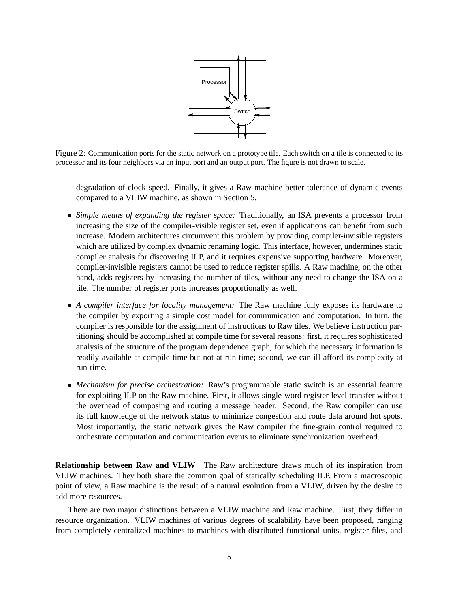

Figure 2: Communication ports for the static network on a prototype tile. Each switch on a tile is connected to its processor and its four neighbors via an input port and an output port. The figure is not drawn to scale.

degradation of clock speed. Finally, it gives a Raw machine better tolerance of dynamic events compared to a VLIW machine, as shown in Section 5.

- *Simple means of expanding the register space:* Traditionally, an ISA prevents a processor from increasing the size of the compiler-visible register set, even if applications can benefit from such increase. Modern architectures circumvent this problem by providing compiler-invisible registers which are utilized by complex dynamic renaming logic. This interface, however, undermines static compiler analysis for discovering ILP, and it requires expensive supporting hardware. Moreover, compiler-invisible registers cannot be used to reduce register spills. A Raw machine, on the other hand, adds registers by increasing the number of tiles, without any need to change the ISA on a tile. The number of register ports increases proportionally as well.
- *A compiler interface for locality management:* The Raw machine fully exposes its hardware to the compiler by exporting a simple cost model for communication and computation. In turn, the compiler is responsible for the assignment of instructions to Raw tiles. We believe instruction partitioning should be accomplished at compile time for several reasons: first, it requires sophisticated analysis of the structure of the program dependence graph, for which the necessary information is readily available at compile time but not at run-time; second, we can ill-afford its complexity at run-time.
- *Mechanism for precise orchestration:* Raw's programmable static switch is an essential feature for exploiting ILP on the Raw machine. First, it allows single-word register-level transfer without the overhead of composing and routing a message header. Second, the Raw compiler can use its full knowledge of the network status to minimize congestion and route data around hot spots. Most importantly, the static network gives the Raw compiler the fine-grain control required to orchestrate computation and communication events to eliminate synchronization overhead.

**Relationship between Raw and VLIW** The Raw architecture draws much of its inspiration from VLIW machines. They both share the common goal of statically scheduling ILP. From a macroscopic point of view, a Raw machine is the result of a natural evolution from a VLIW, driven by the desire to add more resources.

There are two major distinctions between a VLIW machine and Raw machine. First, they differ in resource organization. VLIW machines of various degrees of scalability have been proposed, ranging from completely centralized machines to machines with distributed functional units, register files, and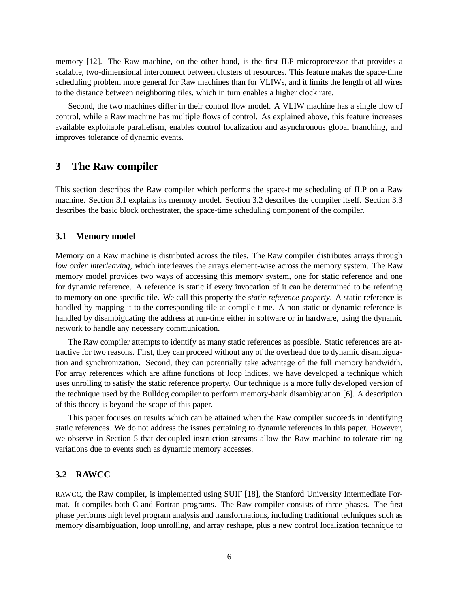memory [12]. The Raw machine, on the other hand, is the first ILP microprocessor that provides a scalable, two-dimensional interconnect between clusters of resources. This feature makes the space-time scheduling problem more general for Raw machines than for VLIWs, and it limits the length of all wires to the distance between neighboring tiles, which in turn enables a higher clock rate.

Second, the two machines differ in their control flow model. A VLIW machine has a single flow of control, while a Raw machine has multiple flows of control. As explained above, this feature increases available exploitable parallelism, enables control localization and asynchronous global branching, and improves tolerance of dynamic events.

### **3 The Raw compiler**

This section describes the Raw compiler which performs the space-time scheduling of ILP on a Raw machine. Section 3.1 explains its memory model. Section 3.2 describes the compiler itself. Section 3.3 describes the basic block orchestrater, the space-time scheduling component of the compiler.

### **3.1 Memory model**

Memory on a Raw machine is distributed across the tiles. The Raw compiler distributes arrays through *low order interleaving*, which interleaves the arrays element-wise across the memory system. The Raw memory model provides two ways of accessing this memory system, one for static reference and one for dynamic reference. A reference is static if every invocation of it can be determined to be referring to memory on one specific tile. We call this property the *static reference property*. A static reference is handled by mapping it to the corresponding tile at compile time. A non-static or dynamic reference is handled by disambiguating the address at run-time either in software or in hardware, using the dynamic network to handle any necessary communication.

The Raw compiler attempts to identify as many static references as possible. Static references are attractive for two reasons. First, they can proceed without any of the overhead due to dynamic disambiguation and synchronization. Second, they can potentially take advantage of the full memory bandwidth. For array references which are affine functions of loop indices, we have developed a technique which uses unrolling to satisfy the static reference property. Our technique is a more fully developed version of the technique used by the Bulldog compiler to perform memory-bank disambiguation [6]. A description of this theory is beyond the scope of this paper.

This paper focuses on results which can be attained when the Raw compiler succeeds in identifying static references. We do not address the issues pertaining to dynamic references in this paper. However, we observe in Section 5 that decoupled instruction streams allow the Raw machine to tolerate timing variations due to events such as dynamic memory accesses.

#### **3.2 RAWCC**

RAWCC, the Raw compiler, is implemented using SUIF [18], the Stanford University Intermediate Format. It compiles both C and Fortran programs. The Raw compiler consists of three phases. The first phase performs high level program analysis and transformations, including traditional techniques such as memory disambiguation, loop unrolling, and array reshape, plus a new control localization technique to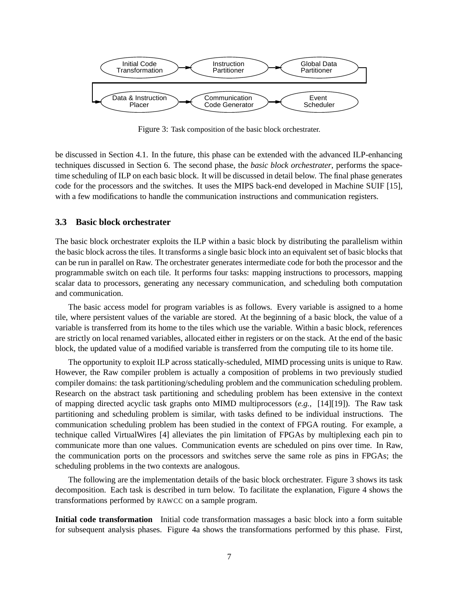

Figure 3: Task composition of the basic block orchestrater.

be discussed in Section 4.1. In the future, this phase can be extended with the advanced ILP-enhancing techniques discussed in Section 6. The second phase, the *basic block orchestrater*, performs the spacetime scheduling of ILP on each basic block. It will be discussed in detail below. The final phase generates code for the processors and the switches. It uses the MIPS back-end developed in Machine SUIF [15], with a few modifications to handle the communication instructions and communication registers.

#### **3.3 Basic block orchestrater**

The basic block orchestrater exploits the ILP within a basic block by distributing the parallelism within the basic block across the tiles. It transforms a single basic block into an equivalent set of basic blocks that can be run in parallel on Raw. The orchestrater generates intermediate code for both the processor and the programmable switch on each tile. It performs four tasks: mapping instructions to processors, mapping scalar data to processors, generating any necessary communication, and scheduling both computation and communication.

The basic access model for program variables is as follows. Every variable is assigned to a home tile, where persistent values of the variable are stored. At the beginning of a basic block, the value of a variable is transferred from its home to the tiles which use the variable. Within a basic block, references are strictly on local renamed variables, allocated either in registers or on the stack. At the end of the basic block, the updated value of a modified variable is transferred from the computing tile to its home tile.

The opportunity to exploit ILP across statically-scheduled, MIMD processing units is unique to Raw. However, the Raw compiler problem is actually a composition of problems in two previously studied compiler domains: the task partitioning/scheduling problem and the communication scheduling problem. Research on the abstract task partitioning and scheduling problem has been extensive in the context of mapping directed acyclic task graphs onto MIMD multiprocessors (*e.g.,* [14][19]). The Raw task partitioning and scheduling problem is similar, with tasks defined to be individual instructions. The communication scheduling problem has been studied in the context of FPGA routing. For example, a technique called VirtualWires [4] alleviates the pin limitation of FPGAs by multiplexing each pin to communicate more than one values. Communication events are scheduled on pins over time. In Raw, the communication ports on the processors and switches serve the same role as pins in FPGAs; the scheduling problems in the two contexts are analogous.

The following are the implementation details of the basic block orchestrater. Figure 3 shows its task decomposition. Each task is described in turn below. To facilitate the explanation, Figure 4 shows the transformations performed by RAWCC on a sample program.

**Initial code transformation** Initial code transformation massages a basic block into a form suitable for subsequent analysis phases. Figure 4a shows the transformations performed by this phase. First,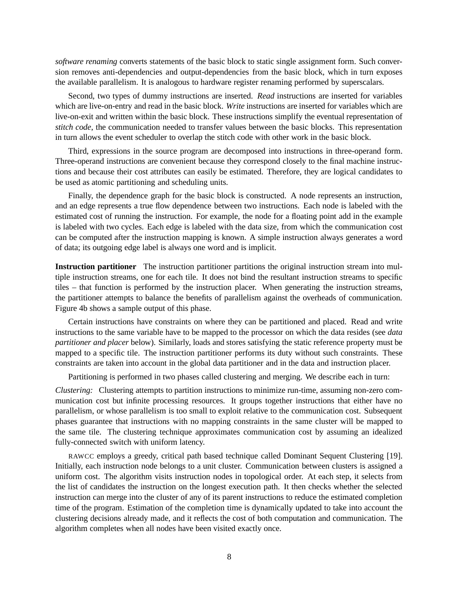*software renaming* converts statements of the basic block to static single assignment form. Such conversion removes anti-dependencies and output-dependencies from the basic block, which in turn exposes the available parallelism. It is analogous to hardware register renaming performed by superscalars.

Second, two types of dummy instructions are inserted. *Read* instructions are inserted for variables which are live-on-entry and read in the basic block. *Write* instructions are inserted for variables which are live-on-exit and written within the basic block. These instructions simplify the eventual representation of *stitch code*, the communication needed to transfer values between the basic blocks. This representation in turn allows the event scheduler to overlap the stitch code with other work in the basic block.

Third, expressions in the source program are decomposed into instructions in three-operand form. Three-operand instructions are convenient because they correspond closely to the final machine instructions and because their cost attributes can easily be estimated. Therefore, they are logical candidates to be used as atomic partitioning and scheduling units.

Finally, the dependence graph for the basic block is constructed. A node represents an instruction, and an edge represents a true flow dependence between two instructions. Each node is labeled with the estimated cost of running the instruction. For example, the node for a floating point add in the example is labeled with two cycles. Each edge is labeled with the data size, from which the communication cost can be computed after the instruction mapping is known. A simple instruction always generates a word of data; its outgoing edge label is always one word and is implicit.

**Instruction partitioner** The instruction partitioner partitions the original instruction stream into multiple instruction streams, one for each tile. It does not bind the resultant instruction streams to specific tiles – that function is performed by the instruction placer. When generating the instruction streams, the partitioner attempts to balance the benefits of parallelism against the overheads of communication. Figure 4b shows a sample output of this phase.

Certain instructions have constraints on where they can be partitioned and placed. Read and write instructions to the same variable have to be mapped to the processor on which the data resides (see *data partitioner and placer* below). Similarly, loads and stores satisfying the static reference property must be mapped to a specific tile. The instruction partitioner performs its duty without such constraints. These constraints are taken into account in the global data partitioner and in the data and instruction placer.

Partitioning is performed in two phases called clustering and merging. We describe each in turn:

*Clustering:* Clustering attempts to partition instructions to minimize run-time, assuming non-zero communication cost but infinite processing resources. It groups together instructions that either have no parallelism, or whose parallelism is too small to exploit relative to the communication cost. Subsequent phases guarantee that instructions with no mapping constraints in the same cluster will be mapped to the same tile. The clustering technique approximates communication cost by assuming an idealized fully-connected switch with uniform latency.

RAWCC employs a greedy, critical path based technique called Dominant Sequent Clustering [19]. Initially, each instruction node belongs to a unit cluster. Communication between clusters is assigned a uniform cost. The algorithm visits instruction nodes in topological order. At each step, it selects from the list of candidates the instruction on the longest execution path. It then checks whether the selected instruction can merge into the cluster of any of its parent instructions to reduce the estimated completion time of the program. Estimation of the completion time is dynamically updated to take into account the clustering decisions already made, and it reflects the cost of both computation and communication. The algorithm completes when all nodes have been visited exactly once.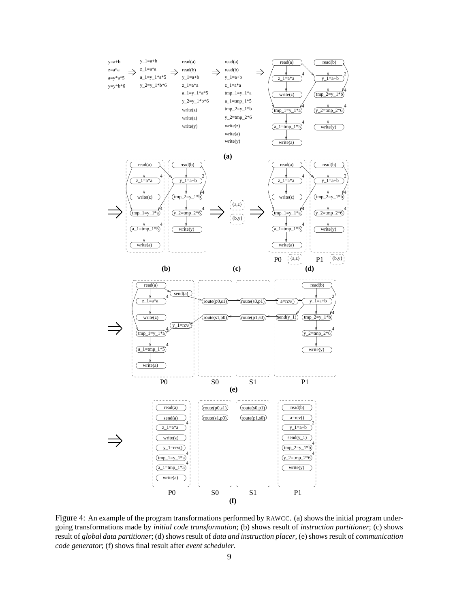

Figure 4: An example of the program transformations performed by RAWCC. (a) shows the initial program undergoing transformations made by *initial code transformation*; (b) shows result of *instruction partitioner*; (c) shows result of *global data partitioner*; (d) shows result of *data and instruction placer*, (e) shows result of *communication code generator*; (f) shows final result after *event scheduler*.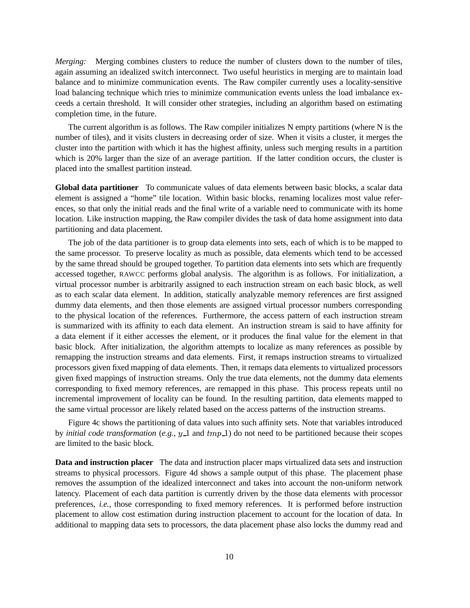*Merging:* Merging combines clusters to reduce the number of clusters down to the number of tiles, again assuming an idealized switch interconnect. Two useful heuristics in merging are to maintain load balance and to minimize communication events. The Raw compiler currently uses a locality-sensitive load balancing technique which tries to minimize communication events unless the load imbalance exceeds a certain threshold. It will consider other strategies, including an algorithm based on estimating completion time, in the future.

The current algorithm is as follows. The Raw compiler initializes N empty partitions (where N is the number of tiles), and it visits clusters in decreasing order of size. When it visits a cluster, it merges the cluster into the partition with which it has the highest affinity, unless such merging results in a partition which is 20% larger than the size of an average partition. If the latter condition occurs, the cluster is placed into the smallest partition instead.

**Global data partitioner** To communicate values of data elements between basic blocks, a scalar data element is assigned a "home" tile location. Within basic blocks, renaming localizes most value references, so that only the initial reads and the final write of a variable need to communicate with its home location. Like instruction mapping, the Raw compiler divides the task of data home assignment into data partitioning and data placement.

The job of the data partitioner is to group data elements into sets, each of which is to be mapped to the same processor. To preserve locality as much as possible, data elements which tend to be accessed by the same thread should be grouped together. To partition data elements into sets which are frequently accessed together, RAWCC performs global analysis. The algorithm is as follows. For initialization, a virtual processor number is arbitrarily assigned to each instruction stream on each basic block, as well as to each scalar data element. In addition, statically analyzable memory references are first assigned dummy data elements, and then those elements are assigned virtual processor numbers corresponding to the physical location of the references. Furthermore, the access pattern of each instruction stream is summarized with its affinity to each data element. An instruction stream is said to have affinity for a data element if it either accesses the element, or it produces the final value for the element in that basic block. After initialization, the algorithm attempts to localize as many references as possible by remapping the instruction streams and data elements. First, it remaps instruction streams to virtualized processors given fixed mapping of data elements. Then, it remaps data elements to virtualized processors given fixed mappings of instruction streams. Only the true data elements, not the dummy data elements corresponding to fixed memory references, are remapped in this phase. This process repeats until no incremental improvement of locality can be found. In the resulting partition, data elements mapped to the same virtual processor are likely related based on the access patterns of the instruction streams.

Figure 4c shows the partitioning of data values into such affinity sets. Note that variables introduced by *initial code transformation* (*e.g., y*  $\perp$  and  $tmp \perp)$  do not need to be partitioned because their scopes are limited to the basic block.

**Data and instruction placer** The data and instruction placer maps virtualized data sets and instruction streams to physical processors. Figure 4d shows a sample output of this phase. The placement phase removes the assumption of the idealized interconnect and takes into account the non-uniform network latency. Placement of each data partition is currently driven by the those data elements with processor preferences, *i.e.,* those corresponding to fixed memory references. It is performed before instruction placement to allow cost estimation during instruction placement to account for the location of data. In additional to mapping data sets to processors, the data placement phase also locks the dummy read and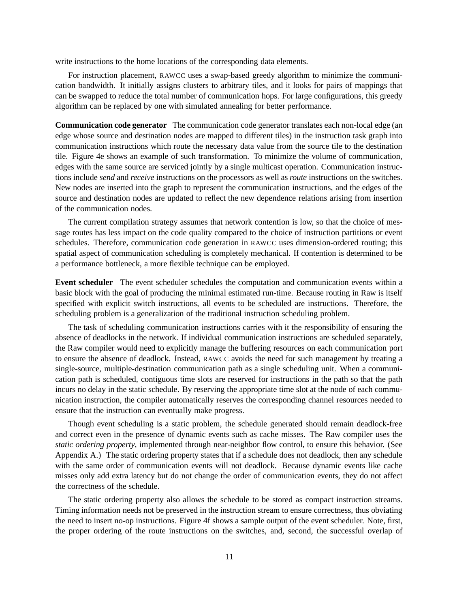write instructions to the home locations of the corresponding data elements.

For instruction placement, RAWCC uses a swap-based greedy algorithm to minimize the communication bandwidth. It initially assigns clusters to arbitrary tiles, and it looks for pairs of mappings that can be swapped to reduce the total number of communication hops. For large configurations, this greedy algorithm can be replaced by one with simulated annealing for better performance.

**Communication code generator** The communication code generator translates each non-local edge (an edge whose source and destination nodes are mapped to different tiles) in the instruction task graph into communication instructions which route the necessary data value from the source tile to the destination tile. Figure 4e shows an example of such transformation. To minimize the volume of communication, edges with the same source are serviced jointly by a single multicast operation. Communication instructions include *send* and *receive* instructions on the processors as well as *route* instructions on the switches. New nodes are inserted into the graph to represent the communication instructions, and the edges of the source and destination nodes are updated to reflect the new dependence relations arising from insertion of the communication nodes.

The current compilation strategy assumes that network contention is low, so that the choice of message routes has less impact on the code quality compared to the choice of instruction partitions or event schedules. Therefore, communication code generation in RAWCC uses dimension-ordered routing; this spatial aspect of communication scheduling is completely mechanical. If contention is determined to be a performance bottleneck, a more flexible technique can be employed.

**Event scheduler** The event scheduler schedules the computation and communication events within a basic block with the goal of producing the minimal estimated run-time. Because routing in Raw is itself specified with explicit switch instructions, all events to be scheduled are instructions. Therefore, the scheduling problem is a generalization of the traditional instruction scheduling problem.

The task of scheduling communication instructions carries with it the responsibility of ensuring the absence of deadlocks in the network. If individual communication instructions are scheduled separately, the Raw compiler would need to explicitly manage the buffering resources on each communication port to ensure the absence of deadlock. Instead, RAWCC avoids the need for such management by treating a single-source, multiple-destination communication path as a single scheduling unit. When a communication path is scheduled, contiguous time slots are reserved for instructions in the path so that the path incurs no delay in the static schedule. By reserving the appropriate time slot at the node of each communication instruction, the compiler automatically reserves the corresponding channel resources needed to ensure that the instruction can eventually make progress.

Though event scheduling is a static problem, the schedule generated should remain deadlock-free and correct even in the presence of dynamic events such as cache misses. The Raw compiler uses the *static ordering property*, implemented through near-neighbor flow control, to ensure this behavior. (See Appendix A.) The static ordering property states that if a schedule does not deadlock, then any schedule with the same order of communication events will not deadlock. Because dynamic events like cache misses only add extra latency but do not change the order of communication events, they do not affect the correctness of the schedule.

The static ordering property also allows the schedule to be stored as compact instruction streams. Timing information needs not be preserved in the instruction stream to ensure correctness, thus obviating the need to insert no-op instructions. Figure 4f shows a sample output of the event scheduler. Note, first, the proper ordering of the route instructions on the switches, and, second, the successful overlap of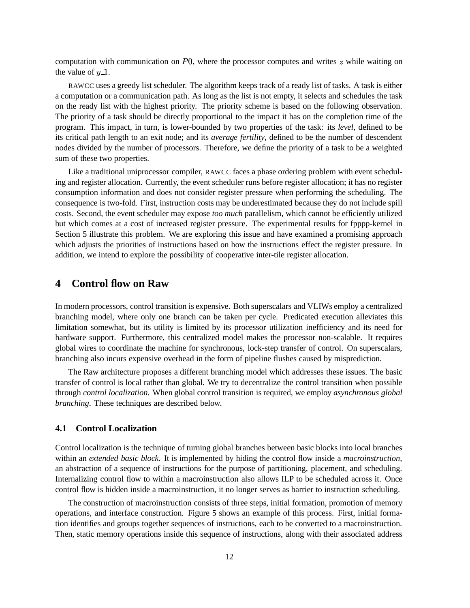computation with communication on  $P0$ , where the processor computes and writes  $z$  while waiting on the value of  $y_1$ .

RAWCC uses a greedy list scheduler. The algorithm keeps track of a ready list of tasks. A task is either a computation or a communication path. As long as the list is not empty, it selects and schedules the task on the ready list with the highest priority. The priority scheme is based on the following observation. The priority of a task should be directly proportional to the impact it has on the completion time of the program. This impact, in turn, is lower-bounded by two properties of the task: its *level*, defined to be its critical path length to an exit node; and its *average fertility*, defined to be the number of descendent nodes divided by the number of processors. Therefore, we define the priority of a task to be a weighted sum of these two properties.

Like a traditional uniprocessor compiler, RAWCC faces a phase ordering problem with event scheduling and register allocation. Currently, the event scheduler runs before register allocation; it has no register consumption information and does not consider register pressure when performing the scheduling. The consequence is two-fold. First, instruction costs may be underestimated because they do not include spill costs. Second, the event scheduler may expose *too much* parallelism, which cannot be efficiently utilized but which comes at a cost of increased register pressure. The experimental results for fpppp-kernel in Section 5 illustrate this problem. We are exploring this issue and have examined a promising approach which adjusts the priorities of instructions based on how the instructions effect the register pressure. In addition, we intend to explore the possibility of cooperative inter-tile register allocation.

### **4 Control flow on Raw**

In modern processors, control transition is expensive. Both superscalars and VLIWs employ a centralized branching model, where only one branch can be taken per cycle. Predicated execution alleviates this limitation somewhat, but its utility is limited by its processor utilization inefficiency and its need for hardware support. Furthermore, this centralized model makes the processor non-scalable. It requires global wires to coordinate the machine for synchronous, lock-step transfer of control. On superscalars, branching also incurs expensive overhead in the form of pipeline flushes caused by misprediction.

The Raw architecture proposes a different branching model which addresses these issues. The basic transfer of control is local rather than global. We try to decentralize the control transition when possible through *control localization*. When global control transition is required, we employ *asynchronous global branching*. These techniques are described below.

### **4.1 Control Localization**

Control localization is the technique of turning global branches between basic blocks into local branches within an *extended basic block*. It is implemented by hiding the control flow inside a *macroinstruction*, an abstraction of a sequence of instructions for the purpose of partitioning, placement, and scheduling. Internalizing control flow to within a macroinstruction also allows ILP to be scheduled across it. Once control flow is hidden inside a macroinstruction, it no longer serves as barrier to instruction scheduling.

The construction of macroinstruction consists of three steps, initial formation, promotion of memory operations, and interface construction. Figure 5 shows an example of this process. First, initial formation identifies and groups together sequences of instructions, each to be converted to a macroinstruction. Then, static memory operations inside this sequence of instructions, along with their associated address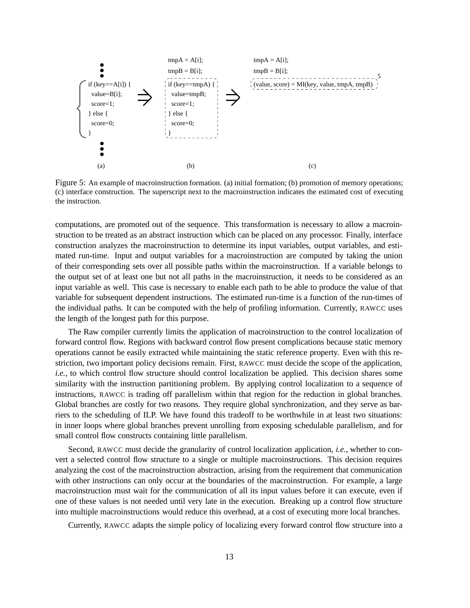

Figure 5: An example of macroinstruction formation. (a) initial formation; (b) promotion of memory operations; (c) interface construction. The superscript next to the macroinstruction indicates the estimated cost of executing the instruction.

computations, are promoted out of the sequence. This transformation is necessary to allow a macroinstruction to be treated as an abstract instruction which can be placed on any processor. Finally, interface construction analyzes the macroinstruction to determine its input variables, output variables, and estimated run-time. Input and output variables for a macroinstruction are computed by taking the union of their corresponding sets over all possible paths within the macroinstruction. If a variable belongs to the output set of at least one but not all paths in the macroinstruction, it needs to be considered as an input variable as well. This case is necessary to enable each path to be able to produce the value of that variable for subsequent dependent instructions. The estimated run-time is a function of the run-times of the individual paths. It can be computed with the help of profiling information. Currently, RAWCC uses the length of the longest path for this purpose.

The Raw compiler currently limits the application of macroinstruction to the control localization of forward control flow. Regions with backward control flow present complications because static memory operations cannot be easily extracted while maintaining the static reference property. Even with this restriction, two important policy decisions remain. First, RAWCC must decide the scope of the application, *i.e.*, to which control flow structure should control localization be applied. This decision shares some similarity with the instruction partitioning problem. By applying control localization to a sequence of instructions, RAWCC is trading off parallelism within that region for the reduction in global branches. Global branches are costly for two reasons. They require global synchronization, and they serve as barriers to the scheduling of ILP. We have found this tradeoff to be worthwhile in at least two situations: in inner loops where global branches prevent unrolling from exposing schedulable parallelism, and for small control flow constructs containing little parallelism.

Second, RAWCC must decide the granularity of control localization application, *i.e.,* whether to convert a selected control flow structure to a single or multiple macroinstructions. This decision requires analyzing the cost of the macroinstruction abstraction, arising from the requirement that communication with other instructions can only occur at the boundaries of the macroinstruction. For example, a large macroinstruction must wait for the communication of all its input values before it can execute, even if one of these values is not needed until very late in the execution. Breaking up a control flow structure into multiple macroinstructions would reduce this overhead, at a cost of executing more local branches.

Currently, RAWCC adapts the simple policy of localizing every forward control flow structure into a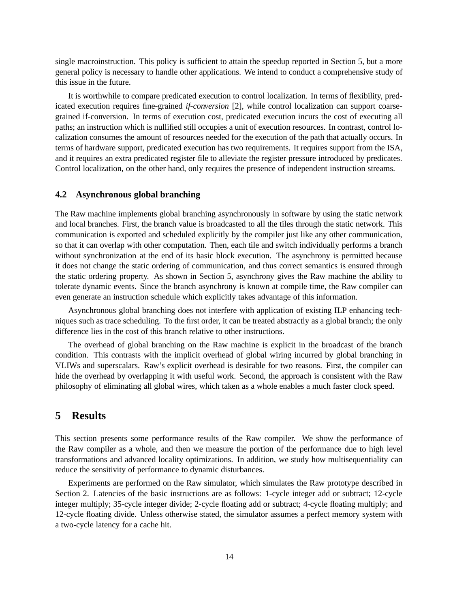single macroinstruction. This policy is sufficient to attain the speedup reported in Section 5, but a more general policy is necessary to handle other applications. We intend to conduct a comprehensive study of this issue in the future.

It is worthwhile to compare predicated execution to control localization. In terms of flexibility, predicated execution requires fine-grained *if-conversion* [2], while control localization can support coarsegrained if-conversion. In terms of execution cost, predicated execution incurs the cost of executing all paths; an instruction which is nullified still occupies a unit of execution resources. In contrast, control localization consumes the amount of resources needed for the execution of the path that actually occurs. In terms of hardware support, predicated execution has two requirements. It requires support from the ISA, and it requires an extra predicated register file to alleviate the register pressure introduced by predicates. Control localization, on the other hand, only requires the presence of independent instruction streams.

### **4.2 Asynchronous global branching**

The Raw machine implements global branching asynchronously in software by using the static network and local branches. First, the branch value is broadcasted to all the tiles through the static network. This communication is exported and scheduled explicitly by the compiler just like any other communication, so that it can overlap with other computation. Then, each tile and switch individually performs a branch without synchronization at the end of its basic block execution. The asynchrony is permitted because it does not change the static ordering of communication, and thus correct semantics is ensured through the static ordering property. As shown in Section 5, asynchrony gives the Raw machine the ability to tolerate dynamic events. Since the branch asynchrony is known at compile time, the Raw compiler can even generate an instruction schedule which explicitly takes advantage of this information.

Asynchronous global branching does not interfere with application of existing ILP enhancing techniques such as trace scheduling. To the first order, it can be treated abstractly as a global branch; the only difference lies in the cost of this branch relative to other instructions.

The overhead of global branching on the Raw machine is explicit in the broadcast of the branch condition. This contrasts with the implicit overhead of global wiring incurred by global branching in VLIWs and superscalars. Raw's explicit overhead is desirable for two reasons. First, the compiler can hide the overhead by overlapping it with useful work. Second, the approach is consistent with the Raw philosophy of eliminating all global wires, which taken as a whole enables a much faster clock speed.

### **5 Results**

This section presents some performance results of the Raw compiler. We show the performance of the Raw compiler as a whole, and then we measure the portion of the performance due to high level transformations and advanced locality optimizations. In addition, we study how multisequentiality can reduce the sensitivity of performance to dynamic disturbances.

Experiments are performed on the Raw simulator, which simulates the Raw prototype described in Section 2. Latencies of the basic instructions are as follows: 1-cycle integer add or subtract; 12-cycle integer multiply; 35-cycle integer divide; 2-cycle floating add or subtract; 4-cycle floating multiply; and 12-cycle floating divide. Unless otherwise stated, the simulator assumes a perfect memory system with a two-cycle latency for a cache hit.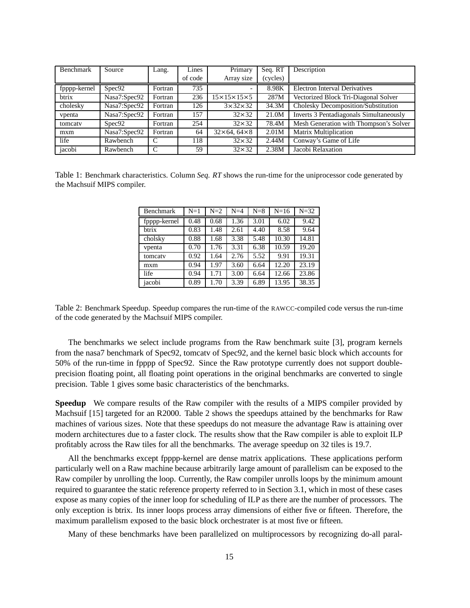| Benchmark    | Source             | Lang.   | Lines   | Primary                           | Seq. RT  | Description                             |  |
|--------------|--------------------|---------|---------|-----------------------------------|----------|-----------------------------------------|--|
|              |                    |         | of code | Array size                        | (cycles) |                                         |  |
| fpppp-kernel | Spec <sub>92</sub> | Fortran | 735     |                                   | 8.98K    | <b>Electron Interval Derivatives</b>    |  |
| btrix        | Nasa7:Spec92       | Fortran | 236     | $15 \times 15 \times 15 \times 5$ | 287M     | Vectorized Block Tri-Diagonal Solver    |  |
| cholesky     | Nasa7:Spec92       | Fortran | 126     | $3\times32\times32$               | 34.3M    | Cholesky Decomposition/Substitution     |  |
| vpenta       | Nasa7:Spec92       | Fortran | 157     | $32\times32$                      | 21.0M    | Inverts 3 Pentadiagonals Simultaneously |  |
| tomcaty      | Spec92             | Fortran | 254     | $32\times32$                      | 78.4M    | Mesh Generation with Thompson's Solver  |  |
| mxm          | Nasa7:Spec92       | Fortran | 64      | $32\times 64.64\times 8$          | 2.01M    | <b>Matrix Multiplication</b>            |  |
| life         | Rawbench           |         | 118     | $32\times32$                      | 2.44M    | Conway's Game of Life                   |  |
| jacobi       | Rawbench           | C       | 59      | $32\times32$                      | 2.38M    | Jacobi Relaxation                       |  |

Table 1: Benchmark characteristics. Column *Seq. RT* shows the run-time for the uniprocessor code generated by the Machsuif MIPS compiler.

| Benchmark    | $N=1$ | $N=2$ | $N=4$ | $N=8$ | $N=16$ | $N=32$ |
|--------------|-------|-------|-------|-------|--------|--------|
| fpppp-kernel | 0.48  | 0.68  | 1.36  | 3.01  | 6.02   | 9.42   |
| btrix        | 0.83  | 1.48  | 2.61  | 4.40  | 8.58   | 9.64   |
| cholsky      | 0.88  | 1.68  | 3.38  | 5.48  | 10.30  | 14.81  |
| vpenta       | 0.70  | 1.76  | 3.31  | 6.38  | 10.59  | 19.20  |
| tomcaty      | 0.92  | 1.64  | 2.76  | 5.52  | 9.91   | 19.31  |
| mxm          | 0.94  | 1.97  | 3.60  | 6.64  | 12.20  | 23.19  |
| life         | 0.94  | 1.71  | 3.00  | 6.64  | 12.66  | 23.86  |
| jacobi       | 0.89  | 1.70  | 3.39  | 6.89  | 13.95  | 38.35  |

Table 2: Benchmark Speedup. Speedup compares the run-time of the RAWCC-compiled code versus the run-time of the code generated by the Machsuif MIPS compiler.

The benchmarks we select include programs from the Raw benchmark suite [3], program kernels from the nasa7 benchmark of Spec92, tomcatv of Spec92, and the kernel basic block which accounts for 50% of the run-time in fpppp of Spec92. Since the Raw prototype currently does not support doubleprecision floating point, all floating point operations in the original benchmarks are converted to single precision. Table 1 gives some basic characteristics of the benchmarks.

**Speedup** We compare results of the Raw compiler with the results of a MIPS compiler provided by Machsuif [15] targeted for an R2000. Table 2 shows the speedups attained by the benchmarks for Raw machines of various sizes. Note that these speedups do not measure the advantage Raw is attaining over modern architectures due to a faster clock. The results show that the Raw compiler is able to exploit ILP profitably across the Raw tiles for all the benchmarks. The average speedup on 32 tiles is 19.7.

All the benchmarks except fpppp-kernel are dense matrix applications. These applications perform particularly well on a Raw machine because arbitrarily large amount of parallelism can be exposed to the Raw compiler by unrolling the loop. Currently, the Raw compiler unrolls loops by the minimum amount required to guarantee the static reference property referred to in Section 3.1, which in most of these cases expose as many copies of the inner loop for scheduling of ILP as there are the number of processors. The only exception is btrix. Its inner loops process array dimensions of either five or fifteen. Therefore, the maximum parallelism exposed to the basic block orchestrater is at most five or fifteen.

Many of these benchmarks have been parallelized on multiprocessors by recognizing do-all paral-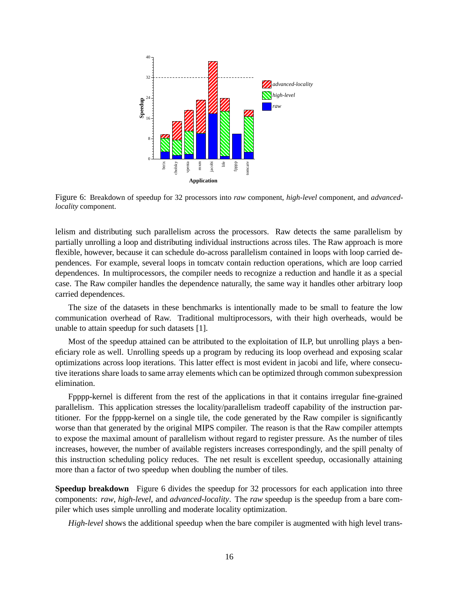

Figure 6: Breakdown of speedup for 32 processors into *raw* component, *high-level* component, and *advancedlocality* component.

lelism and distributing such parallelism across the processors. Raw detects the same parallelism by partially unrolling a loop and distributing individual instructions across tiles. The Raw approach is more flexible, however, because it can schedule do-across parallelism contained in loops with loop carried dependences. For example, several loops in tomcatv contain reduction operations, which are loop carried dependences. In multiprocessors, the compiler needs to recognize a reduction and handle it as a special case. The Raw compiler handles the dependence naturally, the same way it handles other arbitrary loop carried dependences.

The size of the datasets in these benchmarks is intentionally made to be small to feature the low communication overhead of Raw. Traditional multiprocessors, with their high overheads, would be unable to attain speedup for such datasets [1].

Most of the speedup attained can be attributed to the exploitation of ILP, but unrolling plays a beneficiary role as well. Unrolling speeds up a program by reducing its loop overhead and exposing scalar optimizations across loop iterations. This latter effect is most evident in jacobi and life, where consecutive iterations share loads to same array elements which can be optimized through common subexpression elimination.

Fpppp-kernel is different from the rest of the applications in that it contains irregular fine-grained parallelism. This application stresses the locality/parallelism tradeoff capability of the instruction partitioner. For the fpppp-kernel on a single tile, the code generated by the Raw compiler is significantly worse than that generated by the original MIPS compiler. The reason is that the Raw compiler attempts to expose the maximal amount of parallelism without regard to register pressure. As the number of tiles increases, however, the number of available registers increases correspondingly, and the spill penalty of this instruction scheduling policy reduces. The net result is excellent speedup, occasionally attaining more than a factor of two speedup when doubling the number of tiles.

**Speedup breakdown** Figure 6 divides the speedup for 32 processors for each application into three components: *raw*, *high-level*, and *advanced-locality*. The *raw* speedup is the speedup from a bare compiler which uses simple unrolling and moderate locality optimization.

*High-level* shows the additional speedup when the bare compiler is augmented with high level trans-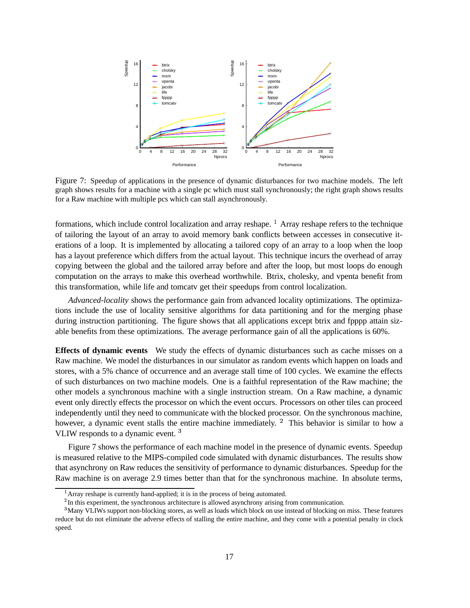

Figure 7: Speedup of applications in the presence of dynamic disturbances for two machine models. The left graph shows results for a machine with a single pc which must stall synchronously; the right graph shows results for a Raw machine with multiple pcs which can stall asynchronously.

formations, which include control localization and array reshape. <sup>1</sup> Array reshape refers to the technique of tailoring the layout of an array to avoid memory bank conflicts between accesses in consecutive iterations of a loop. It is implemented by allocating a tailored copy of an array to a loop when the loop has a layout preference which differs from the actual layout. This technique incurs the overhead of array copying between the global and the tailored array before and after the loop, but most loops do enough computation on the arrays to make this overhead worthwhile. Btrix, cholesky, and vpenta benefit from this transformation, while life and tomcatv get their speedups from control localization.

*Advanced-locality* shows the performance gain from advanced locality optimizations. The optimizations include the use of locality sensitive algorithms for data partitioning and for the merging phase during instruction partitioning. The figure shows that all applications except btrix and fpppp attain sizable benefits from these optimizations. The average performance gain of all the applications is 60%.

**Effects of dynamic events** We study the effects of dynamic disturbances such as cache misses on a Raw machine. We model the disturbances in our simulator as random events which happen on loads and stores, with a 5% chance of occurrence and an average stall time of 100 cycles. We examine the effects of such disturbances on two machine models. One is a faithful representation of the Raw machine; the other models a synchronous machine with a single instruction stream. On a Raw machine, a dynamic event only directly effects the processor on which the event occurs. Processors on other tiles can proceed independently until they need to communicate with the blocked processor. On the synchronous machine, however, a dynamic event stalls the entire machine immediately. <sup>2</sup> This behavior is similar to how a VLIW responds to a dynamic event.<sup>3</sup>

Figure 7 shows the performance of each machine model in the presence of dynamic events. Speedup is measured relative to the MIPS-compiled code simulated with dynamic disturbances. The results show that asynchrony on Raw reduces the sensitivity of performance to dynamic disturbances. Speedup for the Raw machine is on average 2.9 times better than that for the synchronous machine. In absolute terms,

 $<sup>1</sup>$  Array reshape is currently hand-applied; it is in the process of being automated.</sup>

 ${}^{2}$ In this experiment, the synchronous architecture is allowed asynchrony arising from communication.

 ${}^{3}$ Many VLIWs support non-blocking stores, as well as loads which block on use instead of blocking on miss. These features reduce but do not eliminate the adverse effects of stalling the entire machine, and they come with a potential penalty in clock speed.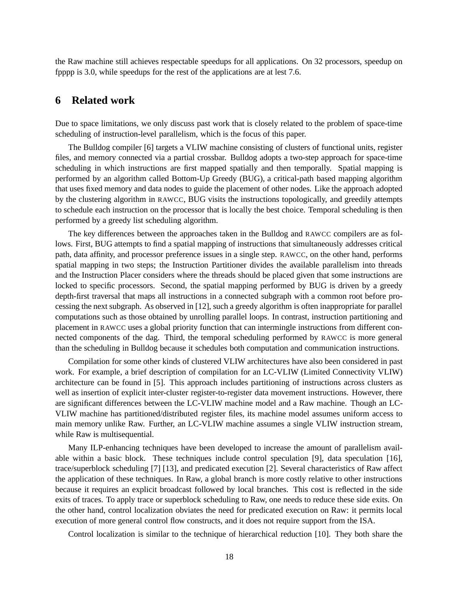the Raw machine still achieves respectable speedups for all applications. On 32 processors, speedup on fpppp is 3.0, while speedups for the rest of the applications are at lest 7.6.

### **6 Related work**

Due to space limitations, we only discuss past work that is closely related to the problem of space-time scheduling of instruction-level parallelism, which is the focus of this paper.

The Bulldog compiler [6] targets a VLIW machine consisting of clusters of functional units, register files, and memory connected via a partial crossbar. Bulldog adopts a two-step approach for space-time scheduling in which instructions are first mapped spatially and then temporally. Spatial mapping is performed by an algorithm called Bottom-Up Greedy (BUG), a critical-path based mapping algorithm that uses fixed memory and data nodes to guide the placement of other nodes. Like the approach adopted by the clustering algorithm in RAWCC, BUG visits the instructions topologically, and greedily attempts to schedule each instruction on the processor that is locally the best choice. Temporal scheduling is then performed by a greedy list scheduling algorithm.

The key differences between the approaches taken in the Bulldog and RAWCC compilers are as follows. First, BUG attempts to find a spatial mapping of instructions that simultaneously addresses critical path, data affinity, and processor preference issues in a single step. RAWCC, on the other hand, performs spatial mapping in two steps; the Instruction Partitioner divides the available parallelism into threads and the Instruction Placer considers where the threads should be placed given that some instructions are locked to specific processors. Second, the spatial mapping performed by BUG is driven by a greedy depth-first traversal that maps all instructions in a connected subgraph with a common root before processing the next subgraph. As observed in [12], such a greedy algorithm is often inappropriate for parallel computations such as those obtained by unrolling parallel loops. In contrast, instruction partitioning and placement in RAWCC uses a global priority function that can intermingle instructions from different connected components of the dag. Third, the temporal scheduling performed by RAWCC is more general than the scheduling in Bulldog because it schedules both computation and communication instructions.

Compilation for some other kinds of clustered VLIW architectures have also been considered in past work. For example, a brief description of compilation for an LC-VLIW (Limited Connectivity VLIW) architecture can be found in [5]. This approach includes partitioning of instructions across clusters as well as insertion of explicit inter-cluster register-to-register data movement instructions. However, there are significant differences between the LC-VLIW machine model and a Raw machine. Though an LC-VLIW machine has partitioned/distributed register files, its machine model assumes uniform access to main memory unlike Raw. Further, an LC-VLIW machine assumes a single VLIW instruction stream, while Raw is multisequential.

Many ILP-enhancing techniques have been developed to increase the amount of parallelism available within a basic block. These techniques include control speculation [9], data speculation [16], trace/superblock scheduling [7] [13], and predicated execution [2]. Several characteristics of Raw affect the application of these techniques. In Raw, a global branch is more costly relative to other instructions because it requires an explicit broadcast followed by local branches. This cost is reflected in the side exits of traces. To apply trace or superblock scheduling to Raw, one needs to reduce these side exits. On the other hand, control localization obviates the need for predicated execution on Raw: it permits local execution of more general control flow constructs, and it does not require support from the ISA.

Control localization is similar to the technique of hierarchical reduction [10]. They both share the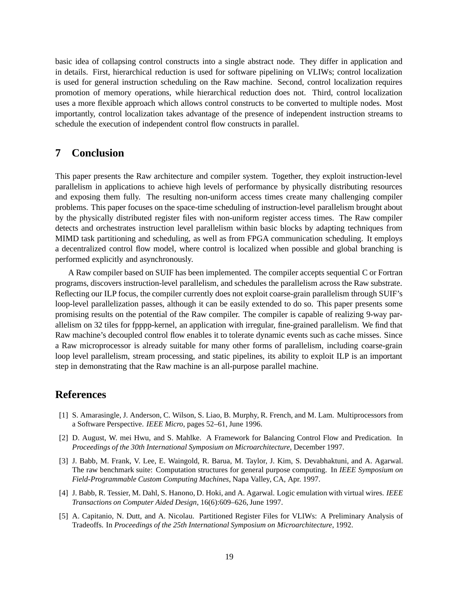basic idea of collapsing control constructs into a single abstract node. They differ in application and in details. First, hierarchical reduction is used for software pipelining on VLIWs; control localization is used for general instruction scheduling on the Raw machine. Second, control localization requires promotion of memory operations, while hierarchical reduction does not. Third, control localization uses a more flexible approach which allows control constructs to be converted to multiple nodes. Most importantly, control localization takes advantage of the presence of independent instruction streams to schedule the execution of independent control flow constructs in parallel.

# **7 Conclusion**

This paper presents the Raw architecture and compiler system. Together, they exploit instruction-level parallelism in applications to achieve high levels of performance by physically distributing resources and exposing them fully. The resulting non-uniform access times create many challenging compiler problems. This paper focuses on the space-time scheduling of instruction-level parallelism brought about by the physically distributed register files with non-uniform register access times. The Raw compiler detects and orchestrates instruction level parallelism within basic blocks by adapting techniques from MIMD task partitioning and scheduling, as well as from FPGA communication scheduling. It employs a decentralized control flow model, where control is localized when possible and global branching is performed explicitly and asynchronously.

A Raw compiler based on SUIF has been implemented. The compiler accepts sequential C or Fortran programs, discovers instruction-level parallelism, and schedules the parallelism across the Raw substrate. Reflecting our ILP focus, the compiler currently does not exploit coarse-grain parallelism through SUIF's loop-level parallelization passes, although it can be easily extended to do so. This paper presents some promising results on the potential of the Raw compiler. The compiler is capable of realizing 9-way parallelism on 32 tiles for fpppp-kernel, an application with irregular, fine-grained parallelism. We find that Raw machine's decoupled control flow enables it to tolerate dynamic events such as cache misses. Since a Raw microprocessor is already suitable for many other forms of parallelism, including coarse-grain loop level parallelism, stream processing, and static pipelines, its ability to exploit ILP is an important step in demonstrating that the Raw machine is an all-purpose parallel machine.

# **References**

- [1] S. Amarasingle, J. Anderson, C. Wilson, S. Liao, B. Murphy, R. French, and M. Lam. Multiprocessors from a Software Perspective. *IEEE Micro*, pages 52–61, June 1996.
- [2] D. August, W. mei Hwu, and S. Mahlke. A Framework for Balancing Control Flow and Predication. In *Proceedings of the 30th International Symposium on Microarchitecture*, December 1997.
- [3] J. Babb, M. Frank, V. Lee, E. Waingold, R. Barua, M. Taylor, J. Kim, S. Devabhaktuni, and A. Agarwal. The raw benchmark suite: Computation structures for general purpose computing. In *IEEE Symposium on Field-Programmable Custom Computing Machines*, Napa Valley, CA, Apr. 1997.
- [4] J. Babb, R. Tessier, M. Dahl, S. Hanono, D. Hoki, and A. Agarwal. Logic emulation with virtual wires. *IEEE Transactions on Computer Aided Design*, 16(6):609–626,June 1997.
- [5] A. Capitanio, N. Dutt, and A. Nicolau. Partitioned Register Files for VLIWs: A Preliminary Analysis of Tradeoffs. In *Proceedings of the 25th International Symposium on Microarchitecture*, 1992.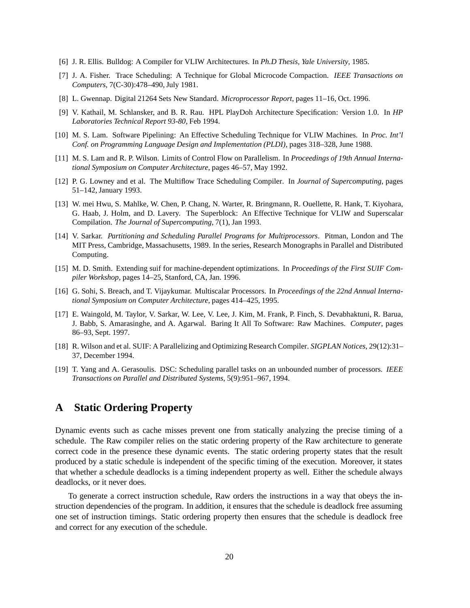- [6] J. R. Ellis. Bulldog: A Compiler for VLIW Architectures. In *Ph.D Thesis, Yale University*, 1985.
- [7] J. A. Fisher. Trace Scheduling: A Technique for Global Microcode Compaction. *IEEE Transactions on Computers*, 7(C-30):478–490,July 1981.
- [8] L. Gwennap. Digital 21264 Sets New Standard. *Microprocessor Report*, pages 11–16, Oct. 1996.
- [9] V. Kathail, M. Schlansker, and B. R. Rau. HPL PlayDoh Architecture Specification: Version 1.0. In *HP Laboratories Technical Report 93-80*, Feb 1994.
- [10] M. S. Lam. Software Pipelining: An Effective Scheduling Technique for VLIW Machines. In *Proc. Int'l Conf. on Programming Language Design and Implementation (PLDI)*, pages 318–328, June 1988.
- [11] M. S. Lam and R. P. Wilson. Limits of Control Flow on Parallelism. In *Proceedings of 19th Annual International Symposium on Computer Architecture*, pages 46–57, May 1992.
- [12] P. G. Lowney and et al. The Multiflow Trace Scheduling Compiler. In *Journal of Supercomputing*, pages 51–142, January 1993.
- [13] W. mei Hwu, S. Mahlke, W. Chen, P. Chang, N. Warter, R. Bringmann, R. Ouellette, R. Hank, T. Kiyohara, G. Haab, J. Holm, and D. Lavery. The Superblock: An Effective Technique for VLIW and Superscalar Compilation. *The Journal of Supercomputing*, 7(1), Jan 1993.
- [14] V. Sarkar. *Partitioning and Scheduling Parallel Programs for Multiprocessors*. Pitman, London and The MIT Press, Cambridge, Massachusetts, 1989. In the series, Research Monographs in Parallel and Distributed Computing.
- [15] M. D. Smith. Extending suif for machine-dependent optimizations. In *Proceedings of the First SUIF Compiler Workshop*, pages 14–25, Stanford, CA, Jan. 1996.
- [16] G. Sohi, S. Breach, and T. Vijaykumar. Multiscalar Processors. In *Proceedings of the 22nd Annual International Symposium on Computer Architecture*, pages 414–425, 1995.
- [17] E. Waingold, M. Taylor, V. Sarkar, W. Lee, V. Lee, J. Kim, M. Frank, P. Finch, S. Devabhaktuni, R. Barua, J. Babb, S. Amarasinghe, and A. Agarwal. Baring It All To Software: Raw Machines. *Computer*, pages 86–93, Sept. 1997.
- [18] R. Wilson and et al. SUIF: A Parallelizing and Optimizing Research Compiler. *SIGPLAN Notices*, 29(12):31– 37, December 1994.
- [19] T. Yang and A. Gerasoulis. DSC: Scheduling parallel tasks on an unbounded number of processors. *IEEE Transactions on Parallel and Distributed Systems*, 5(9):951–967, 1994.

# **A Static Ordering Property**

Dynamic events such as cache misses prevent one from statically analyzing the precise timing of a schedule. The Raw compiler relies on the static ordering property of the Raw architecture to generate correct code in the presence these dynamic events. The static ordering property states that the result produced by a static schedule is independent of the specific timing of the execution. Moreover, it states that whether a schedule deadlocks is a timing independent property as well. Either the schedule always deadlocks, or it never does.

To generate a correct instruction schedule, Raw orders the instructions in a way that obeys the instruction dependencies of the program. In addition, it ensures that the schedule is deadlock free assuming one set of instruction timings. Static ordering property then ensures that the schedule is deadlock free and correct for any execution of the schedule.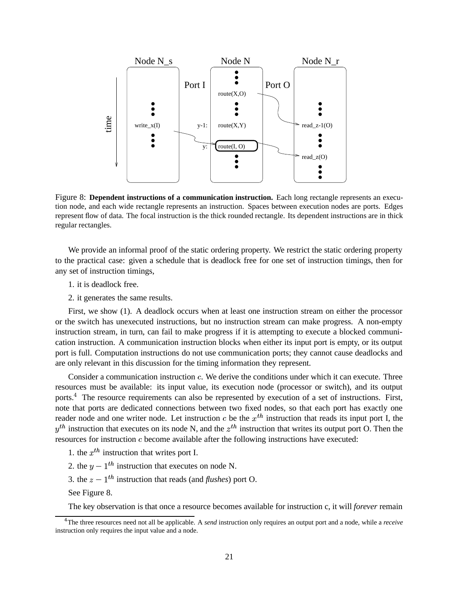

Figure 8: **Dependent instructions of a communication instruction.** Each long rectangle represents an execution node, and each wide rectangle represents an instruction. Spaces between execution nodes are ports. Edges represent flow of data. The focal instruction is the thick rounded rectangle. Its dependent instructions are in thick regular rectangles.

We provide an informal proof of the static ordering property. We restrict the static ordering property to the practical case: given a schedule that is deadlock free for one set of instruction timings, then for any set of instruction timings,

- 1. it is deadlock free.
- 2. it generates the same results.

First, we show (1). A deadlock occurs when at least one instruction stream on either the processor or the switch has unexecuted instructions, but no instruction stream can make progress. A non-empty instruction stream, in turn, can fail to make progress if it is attempting to execute a blocked communication instruction. A communication instruction blocks when either its input port is empty, or its output port is full. Computation instructions do not use communication ports; they cannot cause deadlocks and are only relevant in this discussion for the timing information they represent.

Consider a communication instruction c. We derive the conditions under which it can execute. Three resources must be available: its input value, its execution node (processor or switch), and its output ports.<sup>4</sup> The resource requirements can also be represented by execution of a set of instructions. First, note that ports are dedicated connections between two fixed nodes, so that each port has exactly one reader node and one writer node. Let instruction c be the  $x^{th}$  instruction  $th$  instruction that reads its input port I, the  $y^{th}$  instruction that executes on its node N, and the  $z^{th}$  instruction that writes its output port O. Then the resources for instruction c become available after the following instructions have executed:

- 1. the  $x^{th}$  instruction  $th$  instruction that writes port I.
- 2. the  $y 1$ <sup>th</sup> instruction that executes on node N.
- 3. the  $z 1$ <sup>th</sup> instruction that reads (and *flushes*) port O.

See Figure 8.

The key observation is that once a resource becomes available for instruction c, it will *forever* remain

The three resources need not all be applicable. A *send* instruction only requires an output port and a node, while a *receive* instruction only requires the input value and a node.